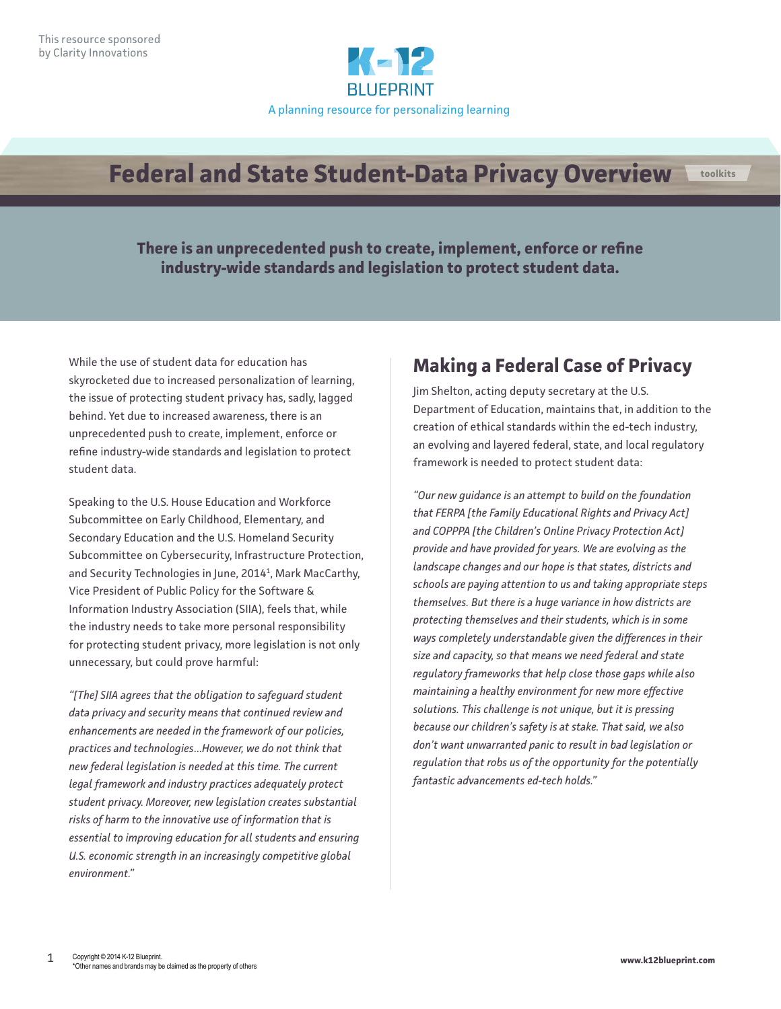

## **Federal and State Student-Data Privacy Overview toolkits**

**There is an unprecedented push to create, implement, enforce or refine industry-wide standards and legislation to protect student data.**

While the use of student data for education has skyrocketed due to increased personalization of learning, the issue of protecting student privacy has, sadly, lagged behind. Yet due to increased awareness, there is an unprecedented push to create, implement, enforce or refine industry-wide standards and legislation to protect student data.

Speaking to the U.S. House Education and Workforce Subcommittee on Early Childhood, Elementary, and Secondary Education and the U.S. Homeland Security Subcommittee on Cybersecurity, Infrastructure Protection, and Security Technologies in June, 20141 , Mark MacCarthy, Vice President of Public Policy for the Software & Information Industry Association (SIIA), feels that, while the industry needs to take more personal responsibility for protecting student privacy, more legislation is not only unnecessary, but could prove harmful:

*"[The] SIIA agrees that the obligation to safeguard student data privacy and security means that continued review and enhancements are needed in the framework of our policies, practices and technologies…However, we do not think that new federal legislation is needed at this time. The current legal framework and industry practices adequately protect student privacy. Moreover, new legislation creates substantial risks of harm to the innovative use of information that is essential to improving education for all students and ensuring U.S. economic strength in an increasingly competitive global environment."*

## **Making a Federal Case of Privacy**

Jim Shelton, acting deputy secretary at the U.S. Department of Education, maintains that, in addition to the creation of ethical standards within the ed-tech industry, an evolving and layered federal, state, and local regulatory framework is needed to protect student data:

*"Our new guidance is an attempt to build on the foundation that FERPA [the Family Educational Rights and Privacy Act] and COPPPA [the Children's Online Privacy Protection Act] provide and have provided for years. We are evolving as the landscape changes and our hope is that states, districts and schools are paying attention to us and taking appropriate steps themselves. But there is a huge variance in how districts are protecting themselves and their students, which is in some ways completely understandable given the differences in their size and capacity, so that means we need federal and state regulatory frameworks that help close those gaps while also maintaining a healthy environment for new more effective solutions. This challenge is not unique, but it is pressing because our children's safety is at stake. That said, we also don't want unwarranted panic to result in bad legislation or regulation that robs us of the opportunity for the potentially fantastic advancements ed-tech holds."*